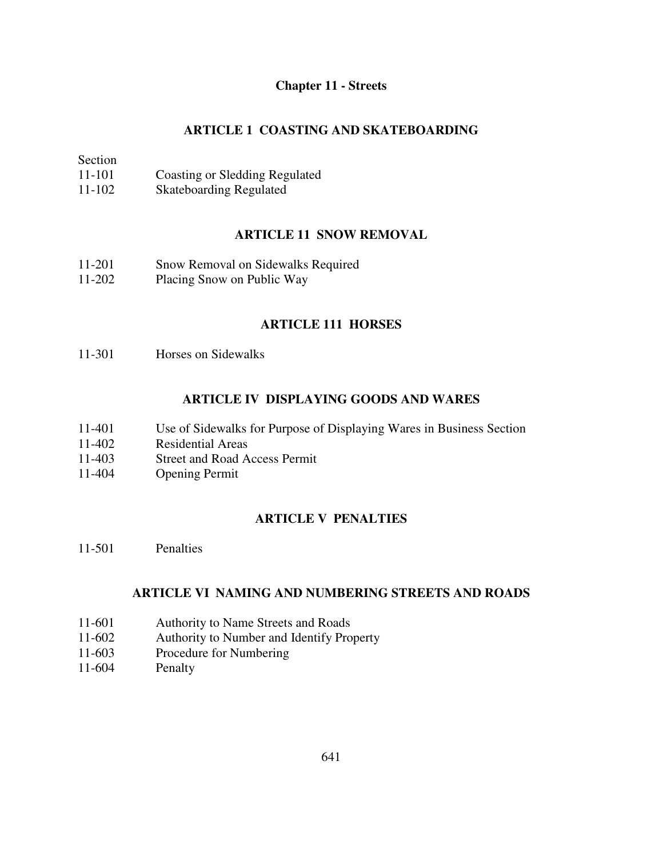## **Chapter 11 - Streets**

## **ARTICLE 1 COASTING AND SKATEBOARDING**

Section

- 11-101 Coasting or Sledding Regulated
- 11-102 Skateboarding Regulated

## **ARTICLE 11 SNOW REMOVAL**

- 11-201 Snow Removal on Sidewalks Required
- 11-202 Placing Snow on Public Way

## **ARTICLE 111 HORSES**

11-301 Horses on Sidewalks

## **ARTICLE IV DISPLAYING GOODS AND WARES**

- 11-401 Use of Sidewalks for Purpose of Displaying Wares in Business Section
- 11-402 Residential Areas
- 11-403 Street and Road Access Permit
- 11-404 Opening Permit

# **ARTICLE V PENALTIES**

11-501 Penalties

## **ARTICLE VI NAMING AND NUMBERING STREETS AND ROADS**

- 11-601 Authority to Name Streets and Roads
- 11-602 Authority to Number and Identify Property
- 11-603 Procedure for Numbering
- 11-604 Penalty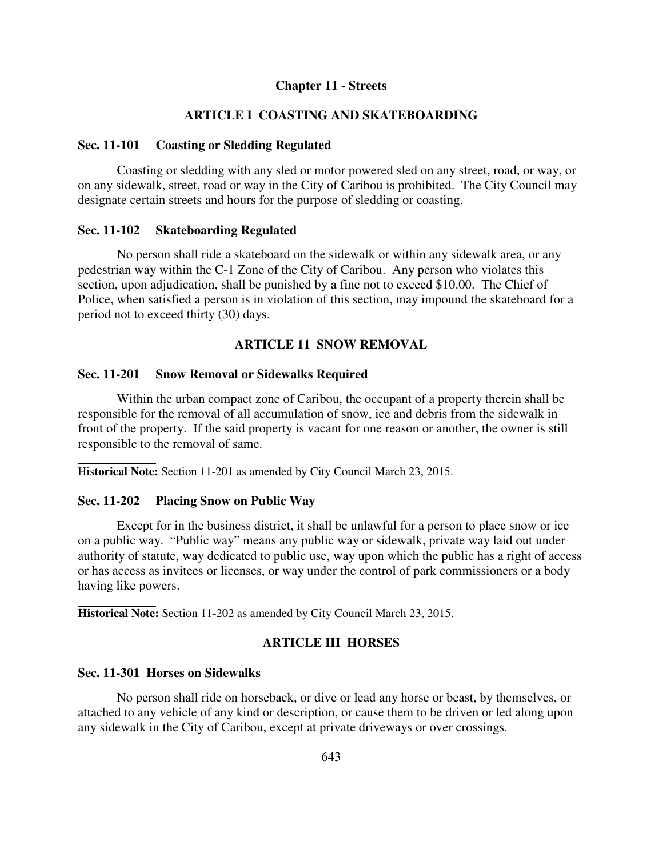#### **Chapter 11 - Streets**

## **ARTICLE I COASTING AND SKATEBOARDING**

#### **Sec. 11-101 Coasting or Sledding Regulated**

 Coasting or sledding with any sled or motor powered sled on any street, road, or way, or on any sidewalk, street, road or way in the City of Caribou is prohibited. The City Council may designate certain streets and hours for the purpose of sledding or coasting.

#### **Sec. 11-102 Skateboarding Regulated**

 No person shall ride a skateboard on the sidewalk or within any sidewalk area, or any pedestrian way within the C-1 Zone of the City of Caribou. Any person who violates this section, upon adjudication, shall be punished by a fine not to exceed \$10.00. The Chief of Police, when satisfied a person is in violation of this section, may impound the skateboard for a period not to exceed thirty (30) days.

### **ARTICLE 11 SNOW REMOVAL**

#### **Sec. 11-201 Snow Removal or Sidewalks Required**

 Within the urban compact zone of Caribou, the occupant of a property therein shall be responsible for the removal of all accumulation of snow, ice and debris from the sidewalk in front of the property. If the said property is vacant for one reason or another, the owner is still responsible to the removal of same.

His**torical Note:** Section 11-201 as amended by City Council March 23, 2015.

#### **Sec. 11-202 Placing Snow on Public Way**

 Except for in the business district, it shall be unlawful for a person to place snow or ice on a public way. "Public way" means any public way or sidewalk, private way laid out under authority of statute, way dedicated to public use, way upon which the public has a right of access or has access as invitees or licenses, or way under the control of park commissioners or a body having like powers.

**Historical Note:** Section 11-202 as amended by City Council March 23, 2015.

### **ARTICLE III HORSES**

### **Sec. 11-301 Horses on Sidewalks**

 No person shall ride on horseback, or dive or lead any horse or beast, by themselves, or attached to any vehicle of any kind or description, or cause them to be driven or led along upon any sidewalk in the City of Caribou, except at private driveways or over crossings.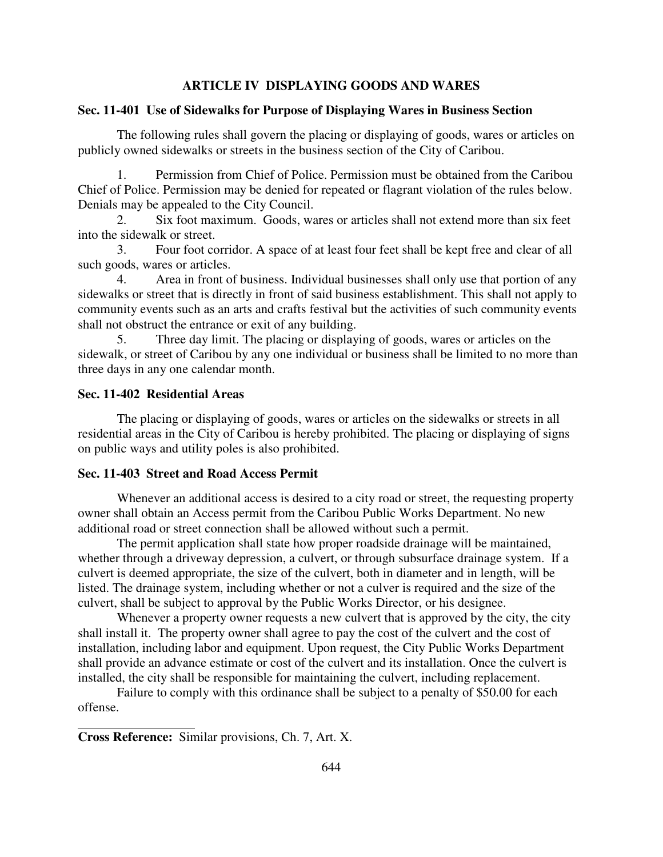### **ARTICLE IV DISPLAYING GOODS AND WARES**

#### **Sec. 11-401 Use of Sidewalks for Purpose of Displaying Wares in Business Section**

 The following rules shall govern the placing or displaying of goods, wares or articles on publicly owned sidewalks or streets in the business section of the City of Caribou.

1. Permission from Chief of Police. Permission must be obtained from the Caribou Chief of Police. Permission may be denied for repeated or flagrant violation of the rules below. Denials may be appealed to the City Council.

2. Six foot maximum. Goods, wares or articles shall not extend more than six feet into the sidewalk or street.

3. Four foot corridor. A space of at least four feet shall be kept free and clear of all such goods, wares or articles.

4. Area in front of business. Individual businesses shall only use that portion of any sidewalks or street that is directly in front of said business establishment. This shall not apply to community events such as an arts and crafts festival but the activities of such community events shall not obstruct the entrance or exit of any building.

5. Three day limit. The placing or displaying of goods, wares or articles on the sidewalk, or street of Caribou by any one individual or business shall be limited to no more than three days in any one calendar month.

### **Sec. 11-402 Residential Areas**

 The placing or displaying of goods, wares or articles on the sidewalks or streets in all residential areas in the City of Caribou is hereby prohibited. The placing or displaying of signs on public ways and utility poles is also prohibited.

#### **Sec. 11-403 Street and Road Access Permit**

 Whenever an additional access is desired to a city road or street, the requesting property owner shall obtain an Access permit from the Caribou Public Works Department. No new additional road or street connection shall be allowed without such a permit.

 The permit application shall state how proper roadside drainage will be maintained, whether through a driveway depression, a culvert, or through subsurface drainage system. If a culvert is deemed appropriate, the size of the culvert, both in diameter and in length, will be listed. The drainage system, including whether or not a culver is required and the size of the culvert, shall be subject to approval by the Public Works Director, or his designee.

 Whenever a property owner requests a new culvert that is approved by the city, the city shall install it. The property owner shall agree to pay the cost of the culvert and the cost of installation, including labor and equipment. Upon request, the City Public Works Department shall provide an advance estimate or cost of the culvert and its installation. Once the culvert is installed, the city shall be responsible for maintaining the culvert, including replacement.

 Failure to comply with this ordinance shall be subject to a penalty of \$50.00 for each offense.

 $\overline{a}$ 

**Cross Reference:** Similar provisions, Ch. 7, Art. X.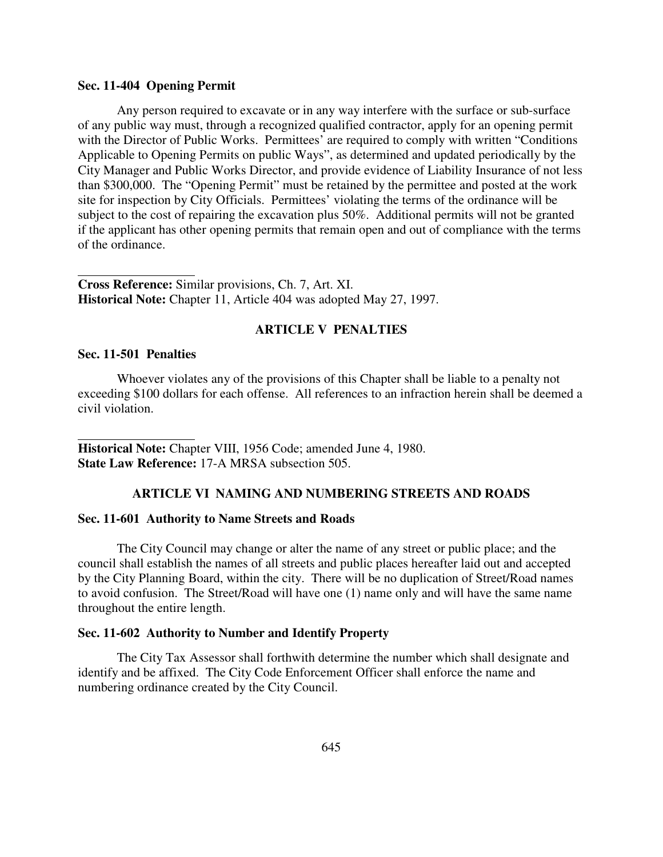### **Sec. 11-404 Opening Permit**

 Any person required to excavate or in any way interfere with the surface or sub-surface of any public way must, through a recognized qualified contractor, apply for an opening permit with the Director of Public Works. Permittees' are required to comply with written "Conditions" Applicable to Opening Permits on public Ways", as determined and updated periodically by the City Manager and Public Works Director, and provide evidence of Liability Insurance of not less than \$300,000. The "Opening Permit" must be retained by the permittee and posted at the work site for inspection by City Officials. Permittees' violating the terms of the ordinance will be subject to the cost of repairing the excavation plus 50%. Additional permits will not be granted if the applicant has other opening permits that remain open and out of compliance with the terms of the ordinance.

**Cross Reference:** Similar provisions, Ch. 7, Art. XI. **Historical Note:** Chapter 11, Article 404 was adopted May 27, 1997.

### **ARTICLE V PENALTIES**

### **Sec. 11-501 Penalties**

 $\overline{a}$ 

 $\overline{a}$ 

 Whoever violates any of the provisions of this Chapter shall be liable to a penalty not exceeding \$100 dollars for each offense. All references to an infraction herein shall be deemed a civil violation.

**Historical Note:** Chapter VIII, 1956 Code; amended June 4, 1980. **State Law Reference:** 17-A MRSA subsection 505.

### **ARTICLE VI NAMING AND NUMBERING STREETS AND ROADS**

#### **Sec. 11-601 Authority to Name Streets and Roads**

 The City Council may change or alter the name of any street or public place; and the council shall establish the names of all streets and public places hereafter laid out and accepted by the City Planning Board, within the city. There will be no duplication of Street/Road names to avoid confusion. The Street/Road will have one (1) name only and will have the same name throughout the entire length.

### **Sec. 11-602 Authority to Number and Identify Property**

 The City Tax Assessor shall forthwith determine the number which shall designate and identify and be affixed. The City Code Enforcement Officer shall enforce the name and numbering ordinance created by the City Council.